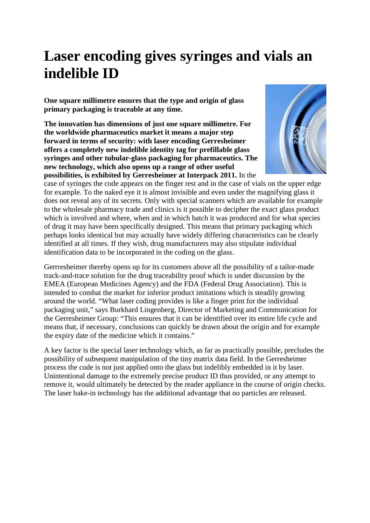## **Laser encoding gives syringes and vials an indelible ID**

**One square millimetre ensures that the type and origin of glass primary packaging is traceable at any time.**

**The innovation has dimensions of just one square millimetre. For the worldwide pharmaceutics market it means a major step forward in terms of security: with laser encoding Gerresheimer offers a completely new indelible identity tag for prefillable glass syringes and other tubular-glass packaging for pharmaceutics. The new technology, which also opens up a range of other useful possibilities, is exhibited by Gerresheimer at Interpack 2011.** In the



case of syringes the code appears on the finger rest and in the case of vials on the upper edge for example. To the naked eye it is almost invisible and even under the magnifying glass it does not reveal any of its secrets. Only with special scanners which are available for example to the wholesale pharmacy trade and clinics is it possible to decipher the exact glass product which is involved and where, when and in which batch it was produced and for what species of drug it may have been specifically designed. This means that primary packaging which perhaps looks identical but may actually have widely differing characteristics can be clearly identified at all times. If they wish, drug manufacturers may also stipulate individual identification data to be incorporated in the coding on the glass.

Gerrresheimer thereby opens up for its customers above all the possibility of a tailor-made track-and-trace solution for the drug traceability proof which is under discussion by the EMEA (European Medicines Agency) and the FDA (Federal Drug Association). This is intended to combat the market for inferior product imitations which is steadily growing around the world. "What laser coding provides is like a finger print for the individual packaging unit," says Burkhard Lingenberg, Director of Marketing and Communication for the Gerresheimer Group: "This ensures that it can be identified over its entire life cycle and means that, if necessary, conclusions can quickly be drawn about the origin and for example the expiry date of the medicine which it contains."

A key factor is the special laser technology which, as far as practically possible, precludes the possibility of subsequent manipulation of the tiny matrix data field. In the Gerresheimer process the code is not just applied onto the glass but indelibly embedded in it by laser. Unintentional damage to the extremely precise product ID thus provided, or any attempt to remove it, would ultimately be detected by the reader appliance in the course of origin checks. The laser bake-in technology has the additional advantage that no particles are released.